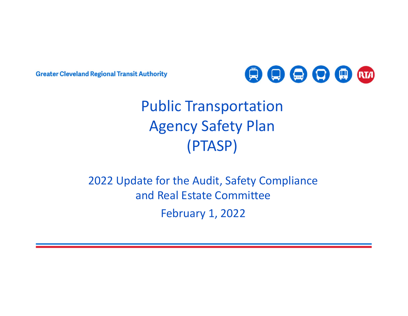**Greater Cleveland Regional Transit Authority** 



# Public Transportation Agency Safety Plan (PTASP)

2022 Update for the Audit, Safety Compliance and Real Estate CommitteeFebruary 1, 2022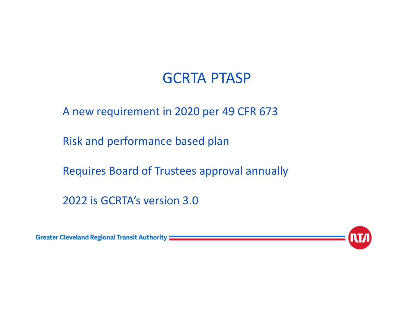A new requirement in 2020 per 49 CFR 673

Risk and performance based plan

Requires Board of Trustees approval annually

2022 is GCRTA's version 3.0

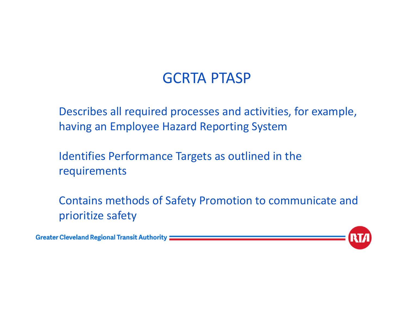Describes all required processes and activities, for example, having an Employee Hazard Reporting System

Identifies Performance Targets as outlined in the requirements

Contains methods of Safety Promotion to communicate and prioritize safety

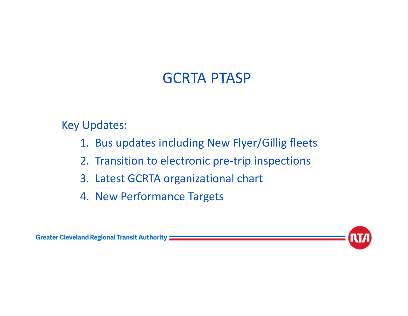Key Updates:

- 1. Bus updates including New Flyer/Gillig fleets
- 2. Transition to electronic pre‐trip inspections
- 3. Latest GCRTA organizational chart
- 4. New Performance Targets



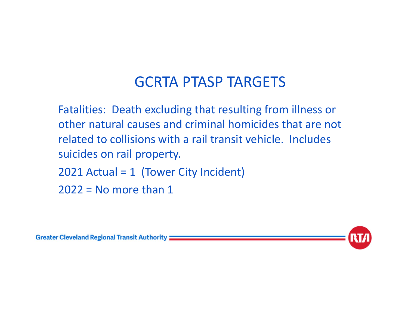Fatalities: Death excluding that resulting from illness or other natural causes and criminal homicides that are not related to collisions with a rail transit vehicle. Includes suicides on rail property.

2021 Actual = 1 (Tower City Incident)

 $2022$  = No more than 1



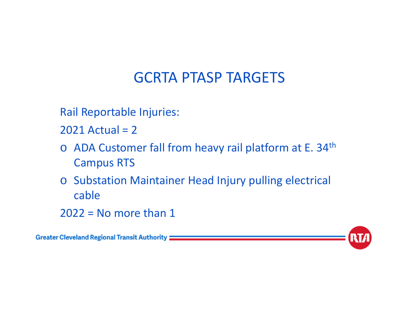Rail Reportable Injuries:

2021 Actual = 2

- o ADA Customer fall from heavy rail platform at E. 34<sup>th</sup> Campus RTS
- o Substation Maintainer Head Injury pulling electrical cable

 $2022$  = No more than 1

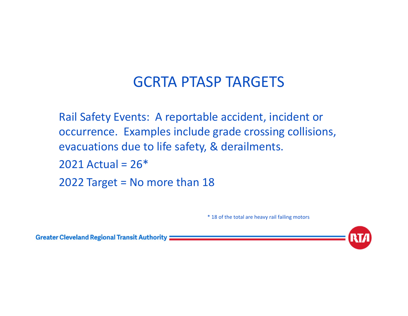Rail Safety Events: A reportable accident, incident or occurrence. Examples include grade crossing collisions, evacuations due to life safety, & derailments.

 $2021$  Actual =  $26*$ 

2022 Target = No more than 18

\* 18 of the total are heavy rail failing motors

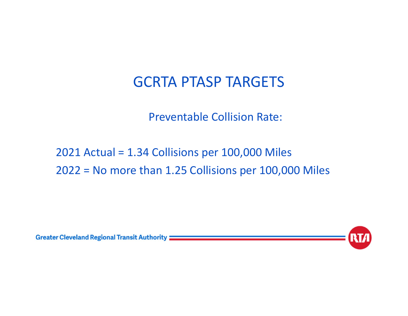Preventable Collision Rate:

### 2021 Actual = 1.34 Collisions per 100,000 Miles 2022 = No more than 1.25 Collisions per 100,000 Miles

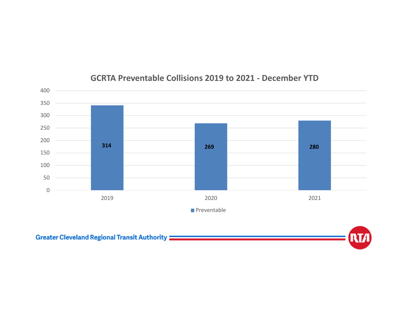

#### **GCRTA Preventable Collisions 2019 to 2021 ‐ December YTD**

Greater Cleveland Regional Transit Authority **Constitution of the Cleveland Regional Transit Authority**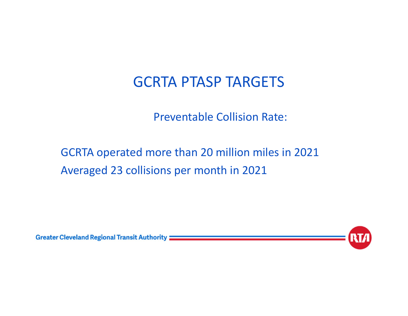Preventable Collision Rate:

GCRTA operated more than 20 million miles in 2021 Averaged 23 collisions per month in 2021

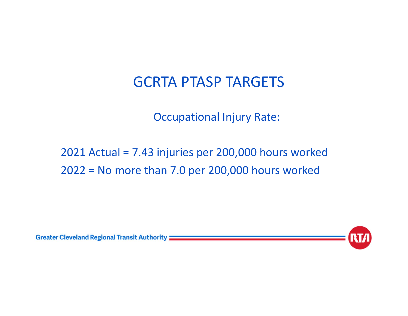Occupational Injury Rate:

2021 Actual = 7.43 injuries per 200,000 hours worked 2022 = No more than 7.0 per 200,000 hours worked

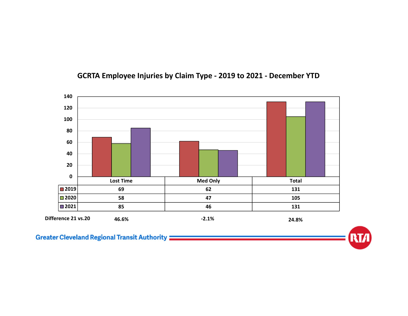

#### **GCRTA Employee Injuries by Claim Type ‐ 2019 to 2021 ‐ December YTD**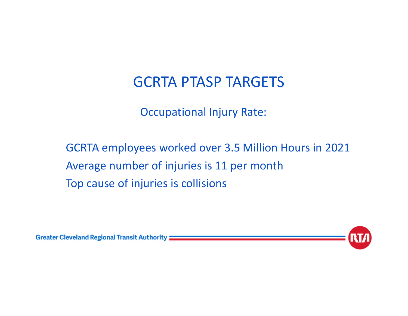Occupational Injury Rate:

GCRTA employees worked over 3.5 Million Hours in 2021 Average number of injuries is 11 per month Top cause of injuries is collisions

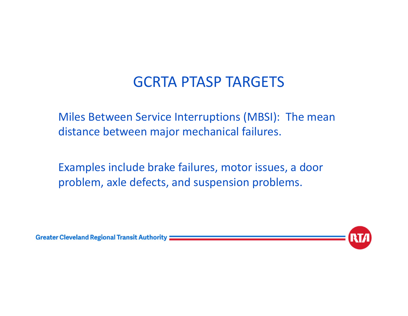Miles Between Service Interruptions (MBSI): The mean distance between major mechanical failures.

Examples include brake failures, motor issues, a door problem, axle defects, and suspension problems.



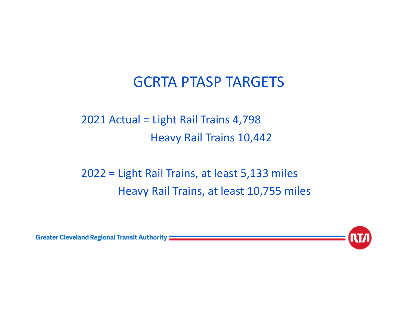2021 Actual = Light Rail Trains 4,798 Heavy Rail Trains 10,442

2022 = Light Rail Trains, at least 5,133 miles Heavy Rail Trains, at least 10,755 miles



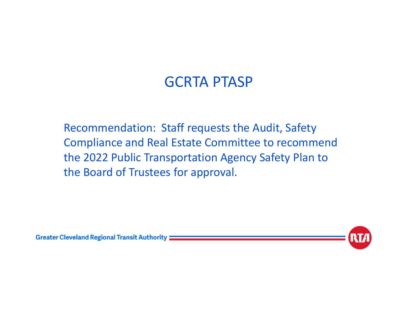Recommendation: Staff requests the Audit, Safety Compliance and Real Estate Committee to recommend the 2022 Public Transportation Agency Safety Plan to the Board of Trustees for approval.